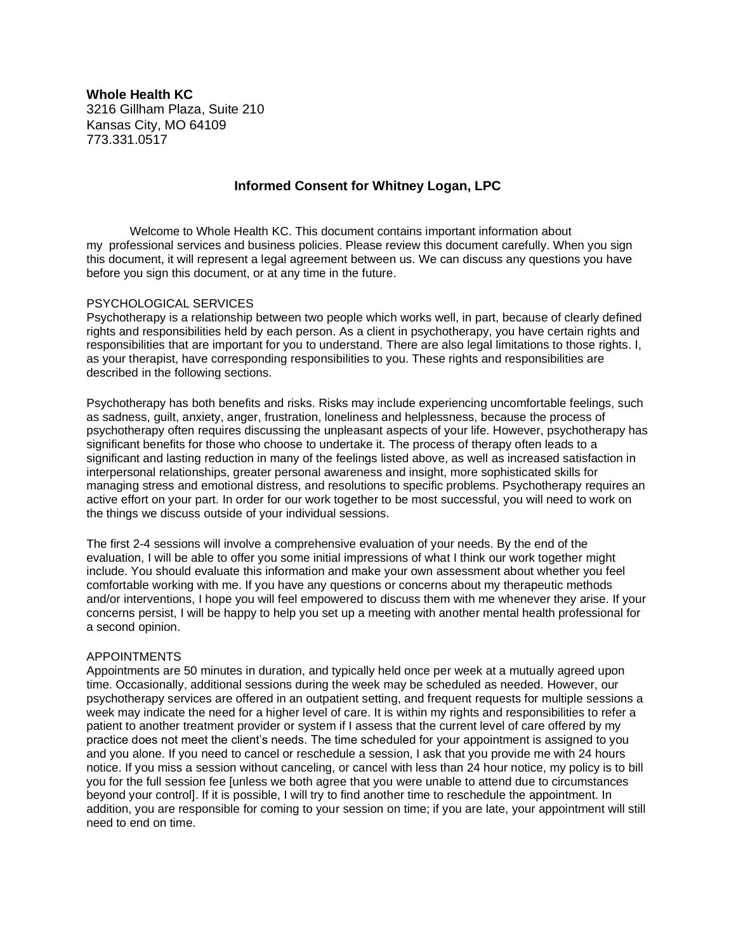**Whole Health KC** 3216 Gillham Plaza, Suite 210 Kansas City, MO 64109 773.331.0517

## **Informed Consent for Whitney Logan, LPC**

Welcome to Whole Health KC. This document contains important information about my professional services and business policies. Please review this document carefully. When you sign this document, it will represent a legal agreement between us. We can discuss any questions you have before you sign this document, or at any time in the future.

#### PSYCHOLOGICAL SERVICES

Psychotherapy is a relationship between two people which works well, in part, because of clearly defined rights and responsibilities held by each person. As a client in psychotherapy, you have certain rights and responsibilities that are important for you to understand. There are also legal limitations to those rights. I, as your therapist, have corresponding responsibilities to you. These rights and responsibilities are described in the following sections.

Psychotherapy has both benefits and risks. Risks may include experiencing uncomfortable feelings, such as sadness, guilt, anxiety, anger, frustration, loneliness and helplessness, because the process of psychotherapy often requires discussing the unpleasant aspects of your life. However, psychotherapy has significant benefits for those who choose to undertake it. The process of therapy often leads to a significant and lasting reduction in many of the feelings listed above, as well as increased satisfaction in interpersonal relationships, greater personal awareness and insight, more sophisticated skills for managing stress and emotional distress, and resolutions to specific problems. Psychotherapy requires an active effort on your part. In order for our work together to be most successful, you will need to work on the things we discuss outside of your individual sessions.

The first 2-4 sessions will involve a comprehensive evaluation of your needs. By the end of the evaluation, I will be able to offer you some initial impressions of what I think our work together might include. You should evaluate this information and make your own assessment about whether you feel comfortable working with me. If you have any questions or concerns about my therapeutic methods and/or interventions, I hope you will feel empowered to discuss them with me whenever they arise. If your concerns persist, I will be happy to help you set up a meeting with another mental health professional for a second opinion.

#### APPOINTMENTS

Appointments are 50 minutes in duration, and typically held once per week at a mutually agreed upon time. Occasionally, additional sessions during the week may be scheduled as needed. However, our psychotherapy services are offered in an outpatient setting, and frequent requests for multiple sessions a week may indicate the need for a higher level of care. It is within my rights and responsibilities to refer a patient to another treatment provider or system if I assess that the current level of care offered by my practice does not meet the client's needs. The time scheduled for your appointment is assigned to you and you alone. If you need to cancel or reschedule a session, I ask that you provide me with 24 hours notice. If you miss a session without canceling, or cancel with less than 24 hour notice, my policy is to bill you for the full session fee [unless we both agree that you were unable to attend due to circumstances beyond your control]. If it is possible, I will try to find another time to reschedule the appointment. In addition, you are responsible for coming to your session on time; if you are late, your appointment will still need to end on time.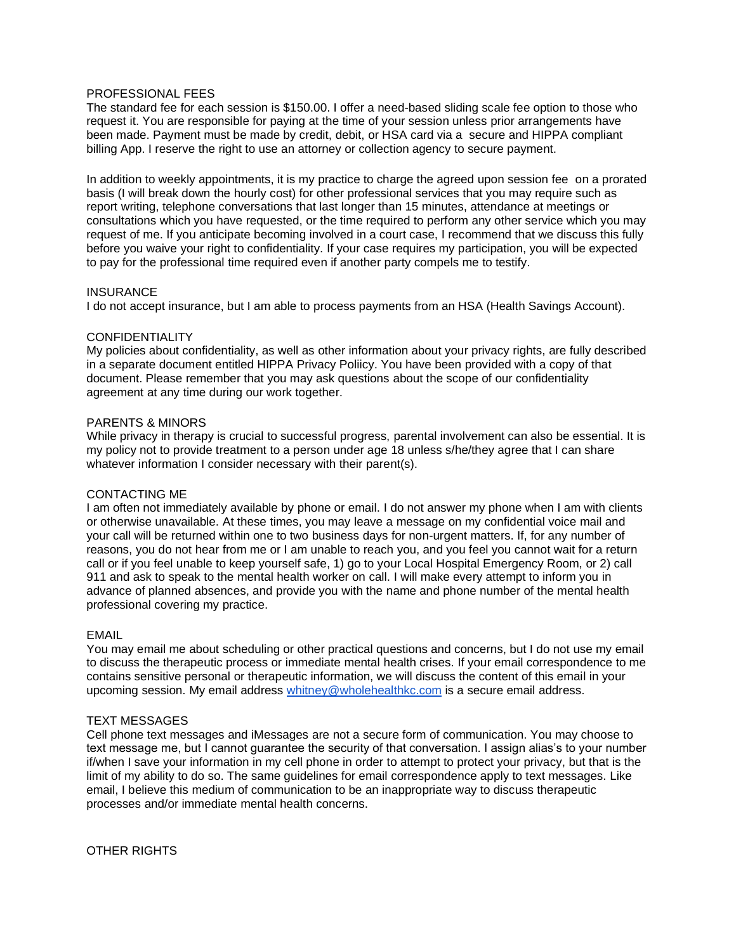## PROFESSIONAL FEES

The standard fee for each session is \$150.00. I offer a need-based sliding scale fee option to those who request it. You are responsible for paying at the time of your session unless prior arrangements have been made. Payment must be made by credit, debit, or HSA card via a secure and HIPPA compliant billing App. I reserve the right to use an attorney or collection agency to secure payment.

In addition to weekly appointments, it is my practice to charge the agreed upon session fee on a prorated basis (I will break down the hourly cost) for other professional services that you may require such as report writing, telephone conversations that last longer than 15 minutes, attendance at meetings or consultations which you have requested, or the time required to perform any other service which you may request of me. If you anticipate becoming involved in a court case, I recommend that we discuss this fully before you waive your right to confidentiality. If your case requires my participation, you will be expected to pay for the professional time required even if another party compels me to testify.

#### **INSURANCE**

I do not accept insurance, but I am able to process payments from an HSA (Health Savings Account).

#### **CONFIDENTIALITY**

My policies about confidentiality, as well as other information about your privacy rights, are fully described in a separate document entitled HIPPA Privacy Poliicy. You have been provided with a copy of that document. Please remember that you may ask questions about the scope of our confidentiality agreement at any time during our work together.

## PARENTS & MINORS

While privacy in therapy is crucial to successful progress, parental involvement can also be essential. It is my policy not to provide treatment to a person under age 18 unless s/he/they agree that I can share whatever information I consider necessary with their parent(s).

## CONTACTING ME

I am often not immediately available by phone or email. I do not answer my phone when I am with clients or otherwise unavailable. At these times, you may leave a message on my confidential voice mail and your call will be returned within one to two business days for non-urgent matters. If, for any number of reasons, you do not hear from me or I am unable to reach you, and you feel you cannot wait for a return call or if you feel unable to keep yourself safe, 1) go to your Local Hospital Emergency Room, or 2) call 911 and ask to speak to the mental health worker on call. I will make every attempt to inform you in advance of planned absences, and provide you with the name and phone number of the mental health professional covering my practice.

## EMAIL

You may email me about scheduling or other practical questions and concerns, but I do not use my email to discuss the therapeutic process or immediate mental health crises. If your email correspondence to me contains sensitive personal or therapeutic information, we will discuss the content of this email in your upcoming session. My email address [whitney@wholehealthkc.com](mailto:whitney@wholehealthkc.com) is a secure email address.

# TEXT MESSAGES

Cell phone text messages and iMessages are not a secure form of communication. You may choose to text message me, but I cannot guarantee the security of that conversation. I assign alias's to your number if/when I save your information in my cell phone in order to attempt to protect your privacy, but that is the limit of my ability to do so. The same guidelines for email correspondence apply to text messages. Like email, I believe this medium of communication to be an inappropriate way to discuss therapeutic processes and/or immediate mental health concerns.

OTHER RIGHTS